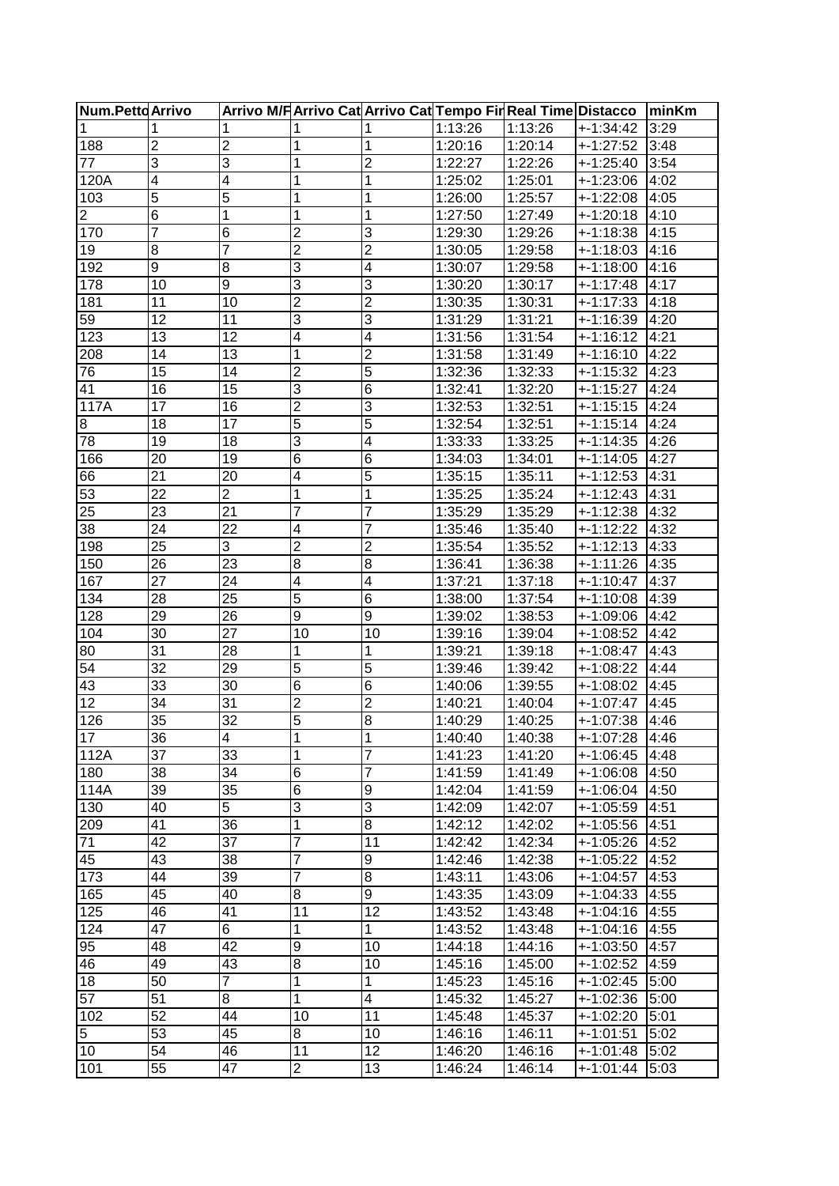| <b>Num.PettdArrivo</b> |                 |                         |                         |                         | Arrivo M/F Arrivo Cat Arrivo Cat Tempo Fir Real Time Distacco |         |               | <b>IminKm</b> |
|------------------------|-----------------|-------------------------|-------------------------|-------------------------|---------------------------------------------------------------|---------|---------------|---------------|
| 1                      | 1               | 1                       | 1                       |                         | 1:13:26                                                       | 1:13:26 | $+ - 1:34:42$ | 3:29          |
| 188                    | $\overline{2}$  | 2                       | 1                       | 1                       | 1:20:16                                                       | 1:20:14 | +-1:27:52     | 3:48          |
| 77                     | 3               | 3                       | 1                       | $\overline{\mathbf{c}}$ | 1:22:27                                                       | 1:22:26 | $+ - 1:25:40$ | 3:54          |
| 120A                   | 4               | $\overline{\mathbf{4}}$ | 1                       | 1                       | 1:25:02                                                       | 1:25:01 | +-1:23:06     | 4:02          |
| 103                    | 5               | 5                       | 1                       | 1                       | 1:26:00                                                       | 1:25:57 | +-1:22:08     | 4:05          |
| $\overline{2}$         | 6               | 1                       | 1                       | 1                       | 1:27:50                                                       | 1:27:49 | $+1:20:18$    | 4:10          |
| 170                    | 7               | $6\phantom{1}6$         | $\overline{2}$          | 3                       | 1:29:30                                                       | 1:29:26 | $+1:18:38$    | 4:15          |
| 19                     | 8               | 7                       | $\overline{2}$          | $\overline{2}$          | 1:30:05                                                       | 1:29:58 | $+1:18:03$    | 4:16          |
| 192                    | 9               | 8                       | 3                       | 4                       | 1:30:07                                                       | 1:29:58 | $+1:18:00$    | 4:16          |
| 178                    | 10              | 9                       | 3                       | 3                       | 1:30:20                                                       | 1:30:17 | +-1:17:48     | 4:17          |
| 181                    | 11              | 10                      | $\overline{c}$          | $\overline{2}$          | 1:30:35                                                       | 1:30:31 | $+1:17:33$    | 4:18          |
| 59                     | 12              | 11                      | $\overline{3}$          | 3                       | 1:31:29                                                       | 1:31:21 | $+1:16:39$    | 4:20          |
| 123                    | 13              | 12                      | $\overline{\mathbf{4}}$ | $\overline{\mathbf{4}}$ | 1:31:56                                                       | 1:31:54 | +-1:16:12     | 4:21          |
| 208                    | 14              | 13                      | 1                       | $\overline{2}$          | 1:31:58                                                       | 1:31:49 | +-1:16:10     | 4:22          |
| 76                     | 15              | 14                      | $\overline{\mathbf{c}}$ | $\overline{5}$          | 1:32:36                                                       | 1:32:33 | $+1:15:32$    | 4:23          |
| 41                     | $\overline{16}$ | 15                      | $\overline{3}$          | 6                       | 1:32:41                                                       | 1:32:20 | $+ - 1:15:27$ | 4:24          |
| 117A                   | 17              | 16                      | $\overline{2}$          | 3                       | 1:32:53                                                       | 1:32:51 | +-1:15:15     | 4:24          |
| 8                      | 18              | 17                      | $\overline{5}$          | $\overline{5}$          | 1:32:54                                                       | 1:32:51 | $+ - 1:15:14$ | 4:24          |
| 78                     | 19              | 18                      | 3                       | $\overline{4}$          | 1:33:33                                                       | 1:33:25 | +-1:14:35     | 4:26          |
| 166                    | 20              | 19                      | $6\overline{6}$         | $\overline{6}$          | 1:34:03                                                       | 1:34:01 | +-1:14:05     | 4:27          |
| 66                     | 21              | 20                      | 4                       | $\overline{5}$          | 1:35:15                                                       | 1:35:11 | +-1:12:53     | 4:31          |
| 53                     | 22              | $\overline{2}$          | 1                       | 1                       | 1:35:25                                                       | 1:35:24 | $+ - 1:12:43$ | 4:31          |
| 25                     | 23              | 21                      | 7                       | 7                       | 1:35:29                                                       | 1:35:29 | $+1:12:38$    | 4:32          |
| 38                     | 24              | 22                      | 4                       | 7                       | 1:35:46                                                       | 1:35:40 | $+1:12:22$    | 4:32          |
| 198                    | 25              | 3                       | $\overline{2}$          | $\overline{2}$          | 1:35:54                                                       | 1:35:52 | $+1:12:13$    | 4:33          |
| 150                    | 26              | 23                      | $\bf8$                  | 8                       | 1:36:41                                                       | 1:36:38 | +-1:11:26     | 4:35          |
| 167                    | 27              | 24                      | 4                       | 4                       | 1:37:21                                                       | 1:37:18 | $+1:10:47$    | 4:37          |
| 134                    | 28              | 25                      | 5                       | 6                       | 1:38:00                                                       | 1:37:54 | $+ - 1:10:08$ | 4:39          |
| 128                    | 29              | 26                      | $\overline{9}$          | $\overline{9}$          | 1:39:02                                                       | 1:38:53 | $+1:09:06$    | 4:42          |
| 104                    | 30              | 27                      | 10                      | 10                      | 1:39:16                                                       | 1:39:04 | +-1:08:52     | 4:42          |
| 80                     | 31              | 28                      | 1                       | 1                       | 1:39:21                                                       | 1:39:18 | $+1:08:47$    | 4:43          |
| 54                     | 32              | 29                      | 5                       | $\overline{5}$          | 1:39:46                                                       | 1:39:42 | +-1:08:22     | 4:44          |
| 43                     | 33              | 30                      | $6\overline{6}$         | 6                       | 1:40:06                                                       | 1:39:55 | $+1:08:02$    | 4:45          |
| 12                     | 34              | 31                      | $\overline{2}$          | $\overline{2}$          | 1:40:21                                                       | 1:40:04 | +-1:07:47     | 4:45          |
| 126                    | 35              | 32                      | 5                       | 8                       | 1:40:29                                                       | 1:40:25 | $+1:07:38$    | 4:46          |
| 17                     | $\overline{36}$ | 4                       | 1                       |                         | 1:40:40                                                       | 1:40:38 | $+1:07:28$    | 4:46          |
| 112A                   | 37              | 33                      | 1                       | $\overline{7}$          | 1:41:23                                                       | 1:41:20 | +-1:06:45     | 4:48          |
| 180                    | 38              | 34                      | $\,$ 6                  | 7                       | 1:41:59                                                       | 1:41:49 | +-1:06:08     | 4:50          |
| 114A                   | 39              | 35                      | $6\overline{6}$         | $\boldsymbol{9}$        | 1:42:04                                                       | 1:41:59 | $+1:06:04$    | 4:50          |
| 130                    | 40              | 5                       | $\overline{3}$          | 3                       | 1:42:09                                                       | 1:42:07 | $+1:05:59$    | 4:51          |
| 209                    | 41              | 36                      | $\mathbf 1$             | 8                       | 1:42:12                                                       | 1:42:02 | $+1:05:56$    | 4:51          |
| 71                     | 42              | 37                      | 7                       | 11                      | 1:42:42                                                       | 1:42:34 | $+1:05:26$    | 4:52          |
| 45                     | 43              | 38                      | 7                       | 9                       | 1:42:46                                                       | 1:42:38 | $+1:05:22$    | 4:52          |
| 173                    | 44              | 39                      | 7                       | 8                       | 1:43:11                                                       | 1:43:06 | $+1:04:57$    | 4:53          |
| 165                    | 45              | 40                      | 8                       | 9                       | 1:43:35                                                       | 1:43:09 | +-1:04:33     | 4:55          |
| 125                    | 46              | 41                      | 11                      | 12                      | 1:43:52                                                       | 1:43:48 | +-1:04:16     | 4:55          |
| 124                    | 47              | $\overline{6}$          | 1                       | 1                       | 1:43:52                                                       | 1:43:48 | +-1:04:16     | 4:55          |
| 95                     | 48              | 42                      | $\boldsymbol{9}$        | 10                      | 1:44:18                                                       | 1:44:16 | +-1:03:50     | 4:57          |
| 46                     | 49              | 43                      | $\overline{8}$          | 10                      | 1:45:16                                                       | 1:45:00 | +-1:02:52     | 4:59          |
| 18                     | 50              | $\overline{7}$          | 1                       | 1                       | 1:45:23                                                       | 1:45:16 | +-1:02:45     | 5:00          |
| 57                     | 51              | 8                       | 1                       | $\overline{\mathbf{4}}$ | 1:45:32                                                       | 1:45:27 | +-1:02:36     | 5:00          |
| 102                    | 52              | 44                      | 10                      | 11                      | 1:45:48                                                       | 1:45:37 | +-1:02:20     | 5:01          |
| 5                      | 53              | 45                      | 8                       | 10                      | 1:46:16                                                       | 1:46:11 | +-1:01:51     | 5:02          |
| 10                     | 54              | 46                      | 11                      | 12                      | 1:46:20                                                       | 1:46:16 | +-1:01:48     | 5:02          |
| 101                    | 55              | 47                      | $\overline{a}$          | 13                      | 1:46:24                                                       | 1:46:14 | +-1:01:44     | 5:03          |
|                        |                 |                         |                         |                         |                                                               |         |               |               |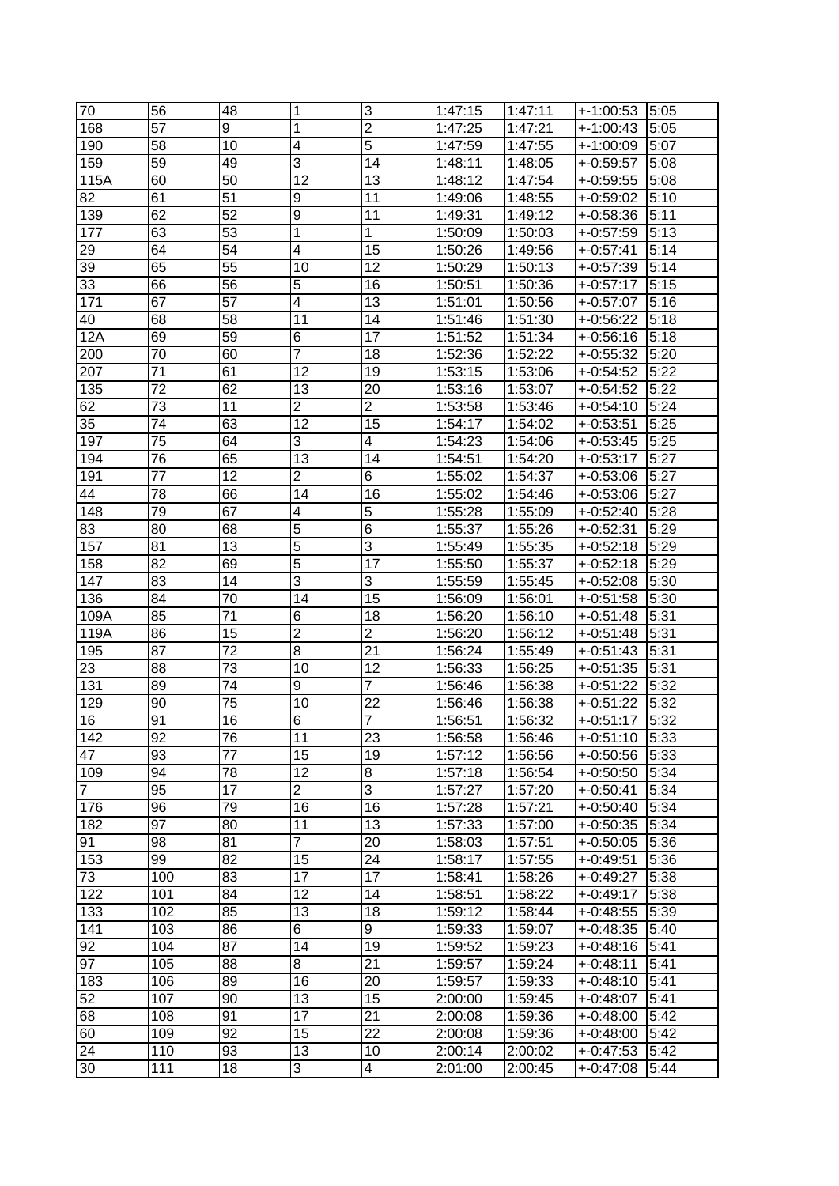| 70             | 56         | 48       | 1                       | 3               | 1:47:15            | 1:47:11            | $+1:00:53$               | 5:05         |
|----------------|------------|----------|-------------------------|-----------------|--------------------|--------------------|--------------------------|--------------|
| 168            | 57         | 9        | 1                       | $\overline{2}$  | 1:47:25            | 1:47:21            | +-1:00:43                | 5:05         |
| 190            | 58         | 10       | 4                       | $\overline{5}$  | 1:47:59            | 1:47:55            | +-1:00:09                | 5:07         |
| 159            | 59         | 49       | 3                       | 14              | 1:48:11            | 1:48:05            | $+0.59:57$               | 5:08         |
| 115A           | 60         | 50       | 12                      | 13              | 1:48:12            | 1:47:54            | $+0.59:55$               | 5:08         |
| 82             | 61         | 51       | 9                       | 11              | 1:49:06            | 1:48:55            | $+0.59:02$               | 5:10         |
| 139            | 62         | 52       | 9                       | 11              | 1:49:31            | 1:49:12            | $+0.58:36$               | 5:11         |
| 177            | 63         | 53       | 1                       | 1               | 1:50:09            | 1:50:03            | $+0.57:59$               | 5:13         |
| 29             | 64         | 54       | 4                       | 15              | 1:50:26            | 1:49:56            | $+.0:57:41$              | 5:14         |
| 39             | 65         | 55       | 10                      | 12              | 1:50:29            | 1:50:13            | $+0.57:39$               | 5:14         |
| 33             | 66         | 56       | 5                       | 16              | 1:50:51            | 1:50:36            | $+.0:57:17$              | 5:15         |
| 171            | 67         | 57       | 4                       | 13              | 1:51:01            | 1:50:56            | $+0.57:07$               | 5:16         |
| 40             | 68         | 58       | 11                      | 14              | 1:51:46            | 1:51:30            | $+0.56:22$               | 5:18         |
| 12A            | 69         | 59       | 6                       | 17              | 1:51:52            | 1:51:34            | $+0.56:16$               | 5:18         |
| 200            | 70         | 60       | 7                       | 18              | 1:52:36            | 1:52:22            | $+.0:55:32$              | 5:20         |
| 207            | 71         | 61       | 12                      | 19              | 1:53:15            | 1:53:06            | $+0.54:52$               | 5:22         |
| 135            | 72         | 62       | 13                      | 20              | 1:53:16            | 1:53:07            | $+.0:54:52$              | 5:22         |
| 62             | 73         | 11       | $\overline{\mathbf{c}}$ | $\overline{c}$  | 1:53:58            | 1:53:46            | $+0.54:10$               | 5:24         |
| 35             | 74         | 63       | 12                      | 15              | 1:54:17            | 1:54:02            | $+0.53:51$               | 5:25         |
| 197            | 75         | 64       | 3                       | 4               | 1:54:23            | 1:54:06            | $+.0:53:45$              | 5:25         |
| 194            | 76         | 65       | 13                      | 14              | 1:54:51            | 1:54:20            | $+.0:53:17$              | 5:27         |
| 191            | 77         | 12       | $\overline{2}$          | 6               | 1:55:02            | 1:54:37            | $+0.53:06$               | 5:27         |
| 44             | 78         | 66       | $\overline{14}$         | 16              | 1:55:02            | 1:54:46            | $+0.53:06$               | 5:27         |
| 148            | 79         | 67       | 4                       | 5               | 1:55:28            | 1:55:09            | $+0.52:40$               | 5:28         |
| 83             | 80         | 68       | 5                       | 6               | 1:55:37            | 1:55:26            | $+0.52:31$               | 5:29         |
| 157            | 81         | 13       | 5                       | 3               | 1:55:49            | 1:55:35            | $+.0:52:18$              | 5:29         |
| 158            | 82         | 69       | 5                       | 17              | 1:55:50            | 1:55:37            | $+.0:52:18$              | 5:29         |
| 147            | 83         | 14       | 3                       | 3               |                    |                    | $+.0:52:08$              | 5:30         |
| 136            | 84         | 70       | 14                      | 15              | 1:55:59<br>1:56:09 | 1:55:45<br>1:56:01 | $+0.51:58$               | 5:30         |
| 109A           | 85         | 71       | 6                       | 18              | 1:56:20            | 1:56:10            | $+0.51:48$               | 5:31         |
| 119A           | 86         | 15       | $\overline{2}$          | $\overline{2}$  | 1:56:20            | 1:56:12            | $+0.51:48$               | 5:31         |
| 195            | 87         | 72       | $\overline{8}$          | $\overline{21}$ | 1:56:24            | 1:55:49            | $+0.51:43$               | 5:31         |
| 23             | 88         | 73       | 10                      | 12              | 1:56:33            | 1:56:25            | $+0.51:35$               | 5:31         |
| 131            | 89         | 74       | 9                       | $\overline{7}$  | 1:56:46            | 1:56:38            | $+.0:51:22$              | 5:32         |
| 129            | 90         | 75       | 10                      | 22              | 1:56:46            | 1:56:38            | $+.0:51:22$              | 5:32         |
| 16             | 91         | 16       | 6                       | $\overline{7}$  |                    |                    |                          | 5:32         |
|                |            |          |                         |                 | 1:56:51            | 1:56:32            | +-0:51:17                |              |
| 142            | 92         | 76       | 11                      | 23              | 1:56:58            | 1:56:46            | +-0:51:10                | 5:33         |
| 47             | 93         | 77       | 15                      | 19              | 1:57:12            | 1:56:56            | $+0.50:56$               | 5:33         |
| 109            | 94         | 78       | 12                      | 8               | 1:57:18            | 1:56:54            | $+.0:50:50$              | 5:34         |
| $\overline{7}$ | 95         | 17       | $\overline{2}$          | 3               | 1:57:27            | 1:57:20            | $+.0:50:41$              | 5:34         |
| 176            | 96         | 79       | 16                      | 16              | 1:57:28            | 1:57:21            | $+0.50:40$               | 5:34         |
| 182            | 97         | 80       | 11                      | 13              | 1:57:33            | 1:57:00            | $+0.50:35$               | 5:34         |
| 91             | 98         | 81       | 7                       | 20              | 1:58:03            | 1:57:51            | $+.0:50:05$              | 5:36         |
| 153            |            |          |                         |                 |                    |                    |                          |              |
| 73             | 99         | 82       | 15                      | 24              | 1:58:17            | 1:57:55            | $+.0:49:51$              | 5:36         |
|                | 100        | 83       | 17                      | 17              | 1:58:41            | 1:58:26            | $+0.49:27$               | 5:38         |
| 122            | 101        | 84       | 12                      | 14              | 1:58:51            | 1:58:22            | $+.0:49:17$              | 5:38         |
| 133            | 102        | 85       | 13                      | 18              | 1:59:12            | 1:58:44            | $+0.48:55$               | 5:39         |
| 141            | 103        | 86       | $\overline{6}$          | 9               | 1:59:33            | 1:59:07            | $+0.48:35$               | 5:40         |
| 92             | 104        | 87       | 14                      | 19              | 1:59:52            | 1:59:23            | $+.0:48:16$              | 5:41         |
| 97             | 105        | 88       | 8                       | 21              | 1:59:57            | 1:59:24            | $+.0:48:11$              | 5:41         |
| 183            | 106        | 89       | 16                      | 20              | 1:59:57            | 1:59:33            | $+0.48:10$               | 5:41         |
| 52             | 107        | 90       | 13                      | 15              | 2:00:00            | 1:59:45            | $+0.48:07$               | 5:41         |
| 68             | 108        | 91       | 17                      | 21              | 2:00:08            | 1:59:36            | $+0.48:00$               | 5:42         |
| 60             | 109        | 92       | 15                      | 22              | 2:00:08            | 1:59:36            | $+0.48:00$               | 5:42         |
| 24<br>30       | 110<br>111 | 93<br>18 | 13<br>3                 | 10<br>4         | 2:00:14<br>2:01:00 | 2:00:02<br>2:00:45 | $+0.47:53$<br>$+0.47:08$ | 5:42<br>5:44 |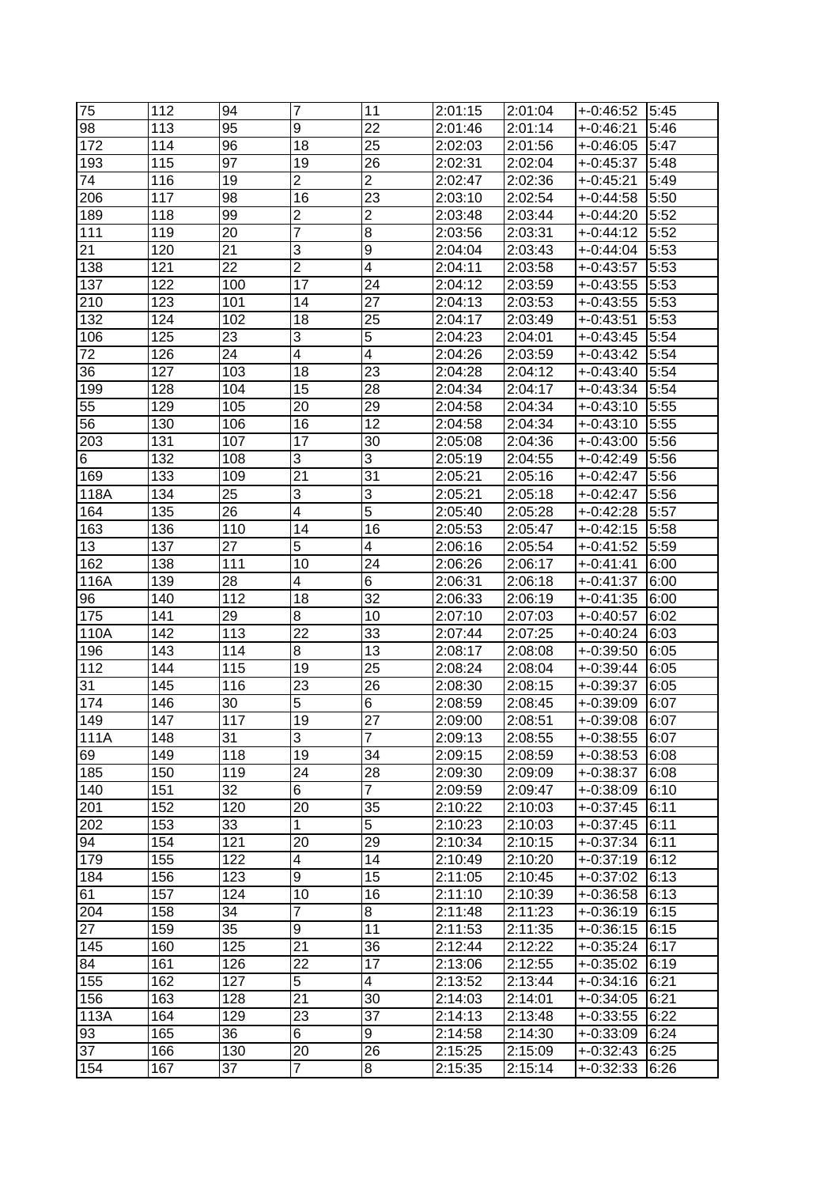| 75       | 112 | 94  | 7                       | 11                      | 2:01:15            | 2:01:04 | $+0.46:52$  | 5:45 |
|----------|-----|-----|-------------------------|-------------------------|--------------------|---------|-------------|------|
| 98       | 113 | 95  | 9                       | 22                      | 2:01:46            | 2:01:14 | +-0:46:21   | 5:46 |
| 172      | 114 | 96  | 18                      | 25                      | 2:02:03            | 2:01:56 | $+0.46:05$  | 5:47 |
| 193      | 115 | 97  | 19                      | 26                      | 2:02:31            | 2:02:04 | $+0.45:37$  | 5:48 |
| 74       | 116 | 19  | $\overline{c}$          | $\overline{2}$          | 2:02:47            | 2:02:36 | $+0:45:21$  | 5:49 |
| 206      | 117 | 98  | 16                      | 23                      | 2:03:10            | 2:02:54 | $+0:44:58$  | 5:50 |
| 189      | 118 | 99  | $\overline{\mathbf{c}}$ | $\overline{\mathbf{c}}$ | 2:03:48            | 2:03:44 | $+0.44:20$  | 5:52 |
| 111      | 119 | 20  | $\overline{7}$          | 8                       | 2:03:56            | 2:03:31 | $+0:44:12$  | 5:52 |
| 21       | 120 | 21  | 3                       | 9                       | 2:04:04            | 2:03:43 | $+0.44:04$  | 5:53 |
| 138      | 121 | 22  | $\overline{2}$          | 4                       | 2:04:11            | 2:03:58 | $+0.43:57$  | 5:53 |
| 137      | 122 | 100 | 17                      | 24                      | 2:04:12            | 2:03:59 | $+0:43:55$  | 5:53 |
| 210      | 123 | 101 | 14                      | 27                      | 2:04:13            | 2:03:53 | $+0.43:55$  | 5:53 |
| 132      | 124 | 102 | 18                      | 25                      | 2:04:17            | 2:03:49 | $+.0:43:51$ | 5:53 |
| 106      | 125 | 23  | 3                       | 5                       | 2:04:23            | 2:04:01 | $+0.43:45$  | 5:54 |
| 72       | 126 | 24  | $\overline{4}$          | $\overline{4}$          | 2:04:26            | 2:03:59 | $+0:43:42$  | 5:54 |
| 36       | 127 | 103 | 18                      | 23                      | 2:04:28            | 2:04:12 | $+.0:43:40$ | 5:54 |
| 199      | 128 | 104 | 15                      | 28                      | 2:04:34            | 2:04:17 | $+0:43:34$  | 5:54 |
|          |     |     |                         |                         |                    |         |             |      |
| 55<br>56 | 129 | 105 | 20<br>16                | 29<br>12                | 2:04:58<br>2:04:58 | 2:04:34 | $+0.43:10$  | 5:55 |
|          | 130 | 106 |                         |                         |                    | 2:04:34 | $+.0:43:10$ | 5:55 |
| 203      | 131 | 107 | 17                      | 30                      | 2:05:08            | 2:04:36 | $+0.43:00$  | 5:56 |
| 6        | 132 | 108 | 3                       | 3                       | 2:05:19            | 2:04:55 | +-0:42:49   | 5:56 |
| 169      | 133 | 109 | $\overline{21}$         | 31                      | 2:05:21            | 2:05:16 | $+0.42:47$  | 5:56 |
| 118A     | 134 | 25  | 3                       | 3                       | 2:05:21            | 2:05:18 | $+0.42:47$  | 5:56 |
| 164      | 135 | 26  | $\overline{4}$          | 5                       | 2:05:40            | 2:05:28 | $+0.42:28$  | 5:57 |
| 163      | 136 | 110 | 14                      | 16                      | 2:05:53            | 2:05:47 | $+0.42:15$  | 5:58 |
| 13       | 137 | 27  | 5                       | 4                       | 2:06:16            | 2:05:54 | $+0:41:52$  | 5:59 |
| 162      | 138 | 111 | 10                      | 24                      | 2:06:26            | 2:06:17 | $+0.41:41$  | 6:00 |
| 116A     | 139 | 28  | $\overline{4}$          | 6                       | 2:06:31            | 2:06:18 | $+0:41:37$  | 6:00 |
| 96       | 140 | 112 | 18                      | 32                      | 2:06:33            | 2:06:19 | $+0:41:35$  | 6:00 |
| 175      | 141 | 29  | 8                       | 10                      | 2:07:10            | 2:07:03 | $+0:40:57$  | 6:02 |
| 110A     | 142 | 113 | 22                      | 33                      | 2:07:44            | 2:07:25 | $+0.40:24$  | 6:03 |
| 196      | 143 | 114 | 8                       | 13                      | 2:08:17            | 2:08:08 | $+0.39:50$  | 6:05 |
| 112      | 144 | 115 | 19                      | 25                      | 2:08:24            | 2:08:04 | $+0.39:44$  | 6:05 |
| 31       | 145 | 116 | 23                      | 26                      | 2:08:30            | 2:08:15 | +-0:39:37   | 6:05 |
| 174      | 146 | 30  | 5                       | 6                       | 2:08:59            | 2:08:45 | $+.0:39:09$ | 6:07 |
| 149      | 147 | 117 | 19                      | 27                      | 2:09:00            | 2:08:51 | +-0:39:08   | 6:07 |
| 111A     | 148 | 31  | 3                       | <sup>1</sup>            | 2:09:13            | 2:08:55 | +-0:38:55   | 6:07 |
| 69       | 149 | 118 | 19                      | 34                      | 2:09:15            | 2:08:59 | $+0.38:53$  | 6:08 |
| 185      | 150 | 119 | 24                      | 28                      | 2:09:30            | 2:09:09 | $+.0:38:37$ | 6:08 |
| 140      | 151 | 32  | 6                       | $\overline{7}$          | 2:09:59            | 2:09:47 | $+0.38:09$  | 6:10 |
| 201      | 152 | 120 | $\overline{20}$         | 35                      | 2:10:22            | 2:10:03 | $+0.37:45$  | 6:11 |
| 202      | 153 | 33  | 1                       | 5                       | 2:10:23            | 2:10:03 | $+0:37:45$  | 6:11 |
| 94       | 154 | 121 | 20                      | 29                      | 2:10:34            | 2:10:15 | $+0:37:34$  | 6:11 |
| 179      | 155 | 122 | $\overline{4}$          | 14                      | 2:10:49            | 2:10:20 | $+0.37:19$  | 6:12 |
| 184      | 156 | 123 | 9                       | 15                      | 2:11:05            | 2:10:45 | $+0:37:02$  | 6:13 |
| 61       | 157 | 124 | 10                      | 16                      | 2:11:10            | 2:10:39 | $+.0:36:58$ | 6:13 |
| 204      | 158 | 34  | 7                       | 8                       | 2:11:48            | 2:11:23 | $+0.36:19$  | 6:15 |
| 27       | 159 | 35  | $\overline{9}$          | 11                      | 2:11:53            | 2:11:35 | $+.0:36:15$ | 6:15 |
| 145      | 160 | 125 | $\overline{21}$         | 36                      | 2:12:44            | 2:12:22 | $+0:35:24$  | 6:17 |
| 84       | 161 | 126 | 22                      | 17                      | 2:13:06            | 2:12:55 | $+0.35:02$  | 6:19 |
| 155      | 162 | 127 | 5                       | 4                       | 2:13:52            | 2:13:44 | $+0.34:16$  | 6:21 |
| 156      | 163 | 128 | 21                      | 30                      | 2:14:03            | 2:14:01 | $+0.34:05$  | 6:21 |
| 113A     | 164 | 129 | 23                      | 37                      | 2:14:13            | 2:13:48 | $+0.33:55$  | 6:22 |
| 93       | 165 | 36  | 6                       | 9                       | 2:14:58            | 2:14:30 | $+0.33:09$  | 6:24 |
| 37       | 166 | 130 | 20                      | 26                      | 2:15:25            | 2:15:09 | $+.0:32:43$ | 6:25 |
| 154      | 167 | 37  | $\overline{7}$          | 8                       | 2:15:35            | 2:15:14 | $+0.32:33$  | 6:26 |
|          |     |     |                         |                         |                    |         |             |      |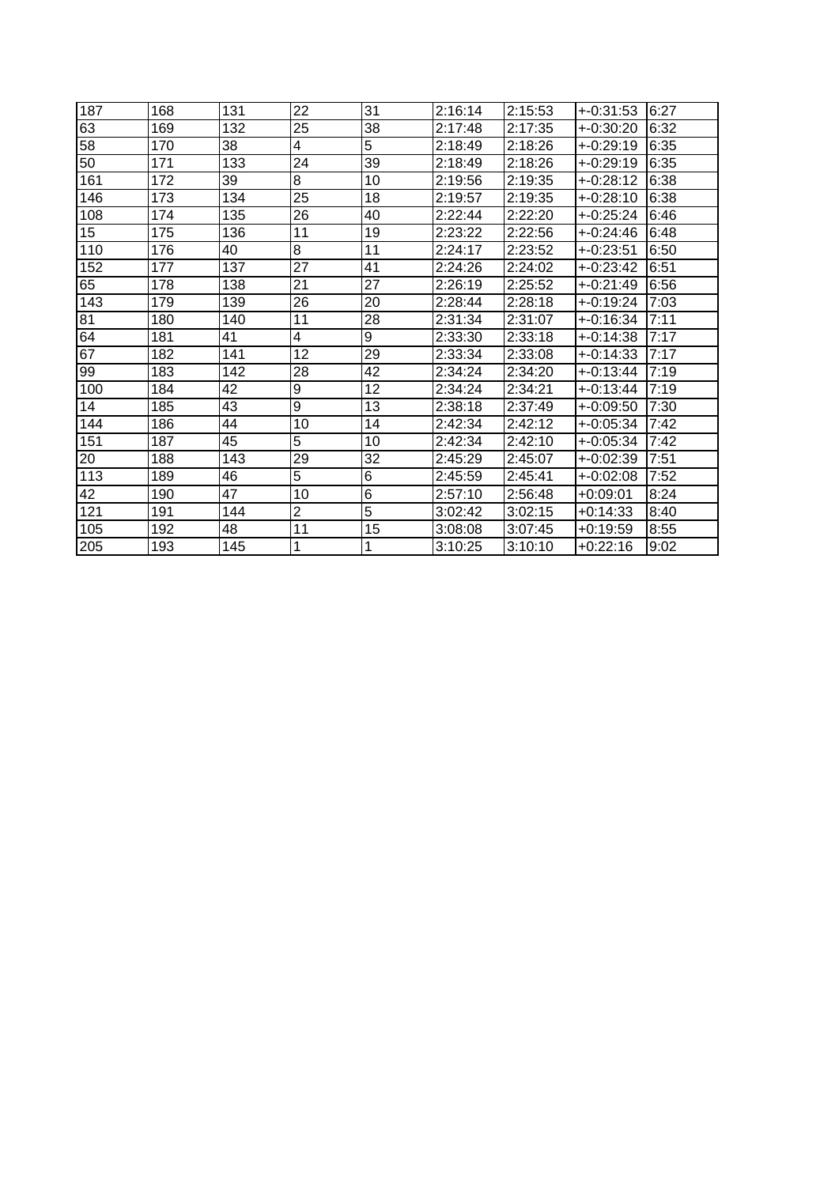| 187 | 168 | 131 | 22 | 31             | 2:16:14 | 2:15:53 | $+.0:31:53$ | 6:27 |
|-----|-----|-----|----|----------------|---------|---------|-------------|------|
| 63  | 169 | 132 | 25 | 38             | 2:17:48 | 2:17:35 | $+.0:30:20$ | 6:32 |
| 58  | 170 | 38  | 4  | 5              | 2:18:49 | 2:18:26 | $+.0:29:19$ | 6:35 |
| 50  | 171 | 133 | 24 | 39             | 2:18:49 | 2:18:26 | $+0.29:19$  | 6:35 |
| 161 | 172 | 39  | 8  | 10             | 2:19:56 | 2:19:35 | $+0.28:12$  | 6:38 |
| 146 | 173 | 134 | 25 | 18             | 2:19:57 | 2:19:35 | $+0.28:10$  | 6:38 |
| 108 | 174 | 135 | 26 | 40             | 2:22:44 | 2:22:20 | $+0:25:24$  | 6:46 |
| 15  | 175 | 136 | 11 | 19             | 2:23:22 | 2:22:56 | $+0:24:46$  | 6:48 |
| 110 | 176 | 40  | 8  | 11             | 2:24:17 | 2:23:52 | $+0:23:51$  | 6:50 |
| 152 | 177 | 137 | 27 | 41             | 2:24:26 | 2:24:02 | $+0:23:42$  | 6:51 |
| 65  | 178 | 138 | 21 | 27             | 2:26:19 | 2:25:52 | $+0:21:49$  | 6:56 |
| 143 | 179 | 139 | 26 | 20             | 2:28:44 | 2:28:18 | $+0:19:24$  | 7:03 |
| 81  | 180 | 140 | 11 | 28             | 2:31:34 | 2:31:07 | $+.0:16:34$ | 7:11 |
| 64  | 181 | 41  | 4  | 9              | 2:33:30 | 2:33:18 | $+.0:14:38$ | 7:17 |
| 67  | 182 | 141 | 12 | 29             | 2:33:34 | 2:33:08 | $+.0:14:33$ | 7:17 |
| 99  | 183 | 142 | 28 | 42             | 2:34:24 | 2:34:20 | $+0:13:44$  | 7:19 |
| 100 | 184 | 42  | 9  | 12             | 2:34:24 | 2:34:21 | $+0:13:44$  | 7:19 |
| 14  | 185 | 43  | 9  | 13             | 2:38:18 | 2:37:49 | $+0.09:50$  | 7:30 |
| 144 | 186 | 44  | 10 | 14             | 2:42:34 | 2:42:12 | $+0.05:34$  | 7:42 |
| 151 | 187 | 45  | 5  | 10             | 2:42:34 | 2:42:10 | $+.0:05:34$ | 7:42 |
| 20  | 188 | 143 | 29 | 32             | 2:45:29 | 2:45:07 | $+.0:02:39$ | 7:51 |
| 113 | 189 | 46  | 5  | $\overline{6}$ | 2:45:59 | 2:45:41 | $+0.02:08$  | 7:52 |
| 42  | 190 | 47  | 10 | 6              | 2:57:10 | 2:56:48 | $+0:09:01$  | 8:24 |
| 121 | 191 | 144 | 2  | 5              | 3:02:42 | 3:02:15 | $+0:14:33$  | 8:40 |
| 105 | 192 | 48  | 11 | 15             | 3:08:08 | 3:07:45 | $+0:19:59$  | 8:55 |
| 205 | 193 | 145 | 1  |                | 3:10:25 | 3:10:10 | +0:22:16    | 9:02 |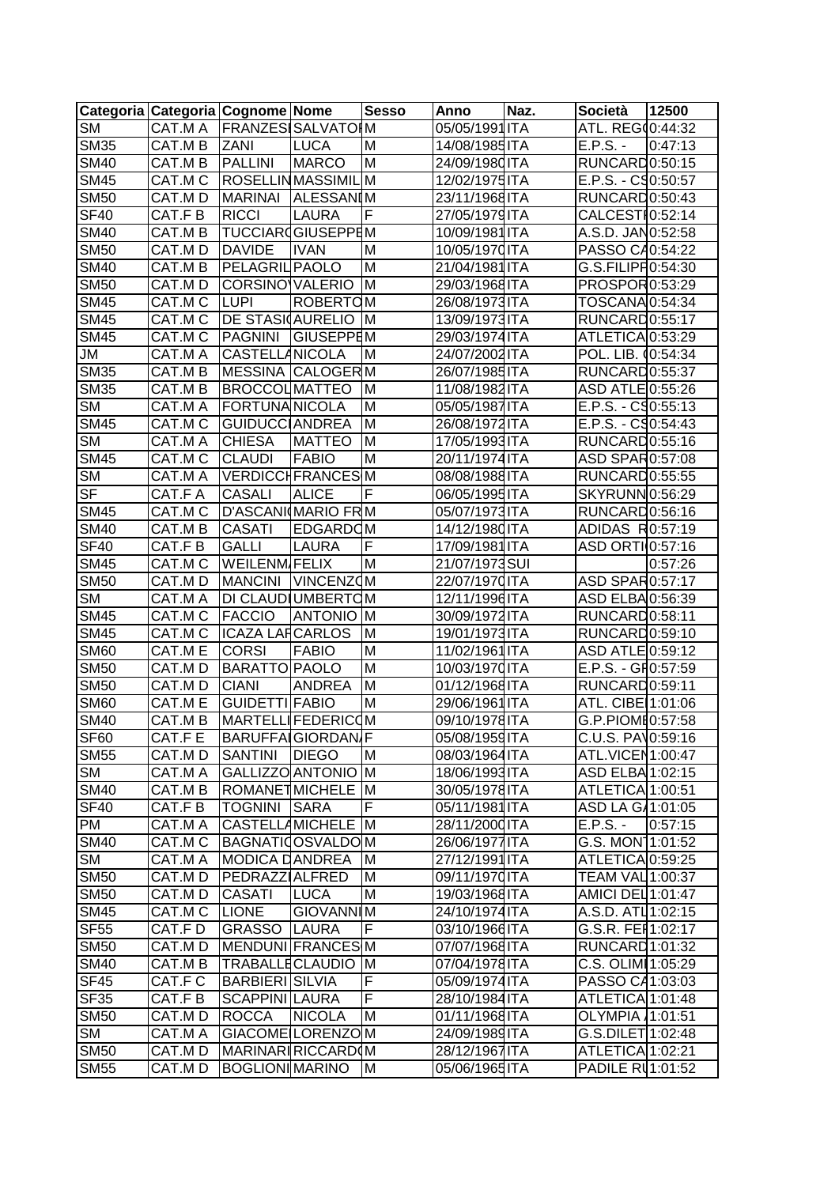| Categoria   Categoria   Cognome   Nome  |                   |                             |                         | <b>Sesso</b> | Anno           | Naz. | <b>Società</b>              | 12500   |
|-----------------------------------------|-------------------|-----------------------------|-------------------------|--------------|----------------|------|-----------------------------|---------|
| <b>SM</b>                               |                   | CAT.M A   FRANZES SALVATO M |                         |              | 05/05/1991 ITA |      | ATL. REG(0:44:32            |         |
| <b>SM35</b>                             | CAT.M B           | <b>ZANI</b>                 | <b>LUCA</b>             | M            | 14/08/1985ITA  |      | $E.P.S. -$                  | 0:47:13 |
| <b>SM40</b>                             | CAT.M B           | PALLINI                     | <b>MARCO</b>            | M            | 24/09/1980 ITA |      | RUNCARD0:50:15              |         |
| <b>SM45</b>                             | CAT.M C           | ROSELLINMASSIMIL            |                         | JM.          | 12/02/1975 ITA |      | $E.P.S. - C90:50:57$        |         |
| <b>SM50</b>                             | CAT.M D           | <b>MARINAI</b>              | <b>ALESSANIM</b>        |              | 23/11/1968 ITA |      | RUNCARD0:50:43              |         |
| SF40                                    | CAT.F B           | <b>RICCI</b>                | <b>LAURA</b>            | F            | 27/05/1979 ITA |      | CALCESTI0:52:14             |         |
| <b>SM40</b>                             | CAT.M B           | <b>TUCCIAR GIUSEPPEM</b>    |                         |              | 10/09/1981ITA  |      | A.S.D. JAN0:52:58           |         |
| <b>SM50</b>                             | CAT.MD            | <b>DAVIDE</b>               | <b>IVAN</b>             | M            | 10/05/1970 ITA |      | PASSO C40:54:22             |         |
| <b>SM40</b>                             | CAT.M B           | <b>PELAGRIL PAOLO</b>       |                         | M            | 21/04/1981 ITA |      | G.S.FILIPH0:54:30           |         |
| <b>SM50</b>                             | CAT.MD            | CORSINO VALERIO             |                         | <b>M</b>     | 29/03/1968 ITA |      | PROSPOR0:53:29              |         |
| <b>SM45</b>                             | CAT.M C           | <b>LUPI</b>                 | <b>ROBERTOM</b>         |              | 26/08/1973 ITA |      | TOSCANA0:54:34              |         |
| <b>SM45</b>                             |                   | CAT.M C DE STASI AURELIO    |                         | <b>M</b>     | 13/09/1973 ITA |      | RUNCARD0:55:17              |         |
| <b>SM45</b>                             | CAT.MC            | PAGNINI                     | <b>GIUSEPPEM</b>        |              | 29/03/1974 ITA |      | ATLETICA0:53:29             |         |
| JM                                      | CAT.M A           | <b>CASTELLANICOLA</b>       |                         | M            | 24/07/2002 ITA |      | POL. LIB. (0:54:34          |         |
| <b>SM35</b>                             | CAT.M B           | <b>MESSINA CALOGERM</b>     |                         |              | 26/07/1985 ITA |      | RUNCARD0:55:37              |         |
| <b>SM35</b>                             | CAT.M B           | <b>BROCCOLMATTEO</b>        |                         | <b>IM</b>    | 11/08/1982ITA  |      | ASD ATLE 0:55:26            |         |
| <b>SM</b>                               | CAT.M A           | FORTUNANICOLA               |                         | M            | 05/05/1987 ITA |      | $E.P.S. - C90:55:13$        |         |
| <b>SM45</b>                             | CAT.M C           | GUIDUCC ANDREA              |                         | M            | 26/08/1972ITA  |      | $E.P.S. - C90:54:43$        |         |
| <b>SM</b>                               | CAT.M A           | <b>CHIESA</b>               | <b>MATTEO</b>           | M            | 17/05/1993ITA  |      | RUNCARD0:55:16              |         |
| <b>SM45</b>                             | CAT.M C           | <b>CLAUDI</b>               | <b>FABIO</b>            | M            | 20/11/1974ITA  |      | ASD SPAR0:57:08             |         |
| <b>SM</b>                               | CAT.M A           |                             | <b>VERDICCHFRANCESM</b> |              | 08/08/1988 ITA |      | RUNCARD0:55:55              |         |
| $S_{\text{F}}$                          | CAT.F A           | <b>CASALI</b>               | <b>ALICE</b>            | F            | 06/05/1995 ITA |      | SKYRUNN0:56:29              |         |
| <b>SM45</b>                             | CAT.M C           | D'ASCANI(MARIO FRM          |                         |              | 05/07/1973 ITA |      | RUNCARD0:56:16              |         |
| <b>SM40</b>                             | CAT.M B           | <b>CASATI</b>               | <b>EDGARDOM</b>         |              | 14/12/1980 ITA |      | ADIDAS R0:57:19             |         |
| S <sub>F40</sub>                        | CAT.F B           | <b>GALLI</b>                | <b>LAURA</b>            | F            | 17/09/1981 ITA |      | ASD ORTI 0:57:16            |         |
| <b>SM45</b>                             | CAT.M C           | <b>WEILENM FELIX</b>        |                         | M            | 21/07/1973SUI  |      |                             | 0:57:26 |
| <b>SM50</b>                             | CAT.MD            | MANCINI VINCENZOM           |                         |              | 22/07/1970 ITA |      | ASD SPAR0:57:17             |         |
| <b>SM</b>                               | CAT.M A           | <b>DI CLAUD UMBERTOM</b>    |                         |              | 12/11/1996 ITA |      | ASD ELBA0:56:39             |         |
| <b>SM45</b>                             | CAT.M C           | <b>FACCIO</b>               | <b>ANTONIO M</b>        |              | 30/09/1972 ITA |      | RUNCARD0:58:11              |         |
| <b>SM45</b>                             | CAT.M C           | <b>ICAZA LARCARLOS</b>      |                         | <b>M</b>     | 19/01/1973 ITA |      | RUNCARD0:59:10              |         |
| <b>SM60</b>                             | CAT.M E           | <b>CORSI</b>                | <b>FABIO</b>            | M            | 11/02/1961 ITA |      | ASD ATLE 0:59:12            |         |
| <b>SM50</b>                             | CAT.M D           | <b>BARATTO PAOLO</b>        |                         | M            | 10/03/1970 ITA |      | $E.P.S. - GH0:57:59$        |         |
| <b>SM50</b>                             | CAT.MD            | <b>CIANI</b>                | <b>ANDREA</b>           | Iм           | 01/12/1968 ITA |      | RUNCARD0:59:11              |         |
| <b>SM60</b>                             | CAT.M E           | GUIDETTI FABIO              |                         | M            | 29/06/1961ITA  |      | ATL. CIBE 1:01:06           |         |
| <b>SM40</b>                             | CAT.M B           | <b>MARTELLIFEDERICOM</b>    |                         |              | 09/10/1978 ITA |      | G.P.PIOME0:57:58            |         |
| SF <sub>60</sub>                        | CAT.F E           | <b>BARUFFAIGIORDAN F</b>    |                         |              | 05/08/1959 ITA |      | C.U.S. PA\0:59:16           |         |
| <b>SM55</b>                             | CAT.MD            | SANTINI DIEGO               |                         | M            | 08/03/1964 ITA |      | ATL.VICEN1:00:47            |         |
| <b>SM</b>                               | CAT.M A           | GALLIZZO ANTONIO M          |                         |              | 18/06/1993 ITA |      | ASD ELBA 1:02:15            |         |
| <b>SM40</b>                             | CAT.M B           | ROMANETMICHELE M            |                         |              | 30/05/1978 ITA |      | ATLETICA1:00:51             |         |
| <b>SF40</b>                             | CAT.F B           | <b>TOGNINI SARA</b>         |                         | F            | 05/11/1981ITA  |      | ASD LA G/1:01:05            |         |
| <b>PM</b>                               | CAT.M A           | <b>CASTELLAMICHELE M</b>    |                         |              | 28/11/2000 ITA |      | $E.P.S. -$                  | 0:57:15 |
| <b>SM40</b>                             | CAT.M C           | <b>BAGNATIOOSVALDOM</b>     |                         |              | 26/06/1977 ITA |      | G.S. MON11:01:52            |         |
| <b>SM</b>                               | CAT.M A           | <b>MODICA DANDREA</b>       |                         | IМ           | 27/12/1991 ITA |      | ATLETICA 0:59:25            |         |
|                                         |                   | <b>PEDRAZZIALFRED</b>       |                         |              |                |      |                             |         |
| <b>SM50</b>                             | CAT.M D           |                             |                         | M            | 09/11/1970 ITA |      | TEAM VAL 1:00:37            |         |
| <b>SM50</b><br>$\overline{\text{SM45}}$ | CAT.MD<br>CAT.M C | <b>CASATI</b>               | <b>LUCA</b>             | M            | 19/03/1968 ITA |      | AMICI DEL 1:01:47           |         |
|                                         |                   | <b>LIONE</b>                | <b>GIOVANNIM</b>        | IF           | 24/10/1974 ITA |      | A.S.D. ATL 1:02:15          |         |
| <b>SF55</b>                             | CAT.F D           | <b>GRASSO LAURA</b>         |                         |              | 03/10/1966 ITA |      | G.S.R. FEI 1:02:17          |         |
| <b>SM50</b>                             | CAT.M D           | MENDUNI FRANCES M           |                         |              | 07/07/1968 ITA |      | RUNCARD 1:01:32             |         |
| $\overline{\text{SM4}}0$                | CAT.M B           | TRABALLECLAUDIO M           |                         |              | 07/04/1978 ITA |      | C.S. OLIM 1:05:29           |         |
| S <sub>F45</sub>                        | CAT.F C           | <b>BARBIERI SILVIA</b>      |                         | F            | 05/09/1974 ITA |      | PASSO C41:03:03             |         |
| <b>SF35</b>                             | CAT.F B           | SCAPPINI LAURA              |                         | $\mathsf F$  | 28/10/1984 ITA |      | ATLETICA <sup>1:01:48</sup> |         |
| SM50                                    | CAT.M D           | <b>ROCCA</b>                | <b>NICOLA</b>           | M            | 01/11/1968 ITA |      | OLYMPIA 1:01:51             |         |
| <b>SM</b>                               | CAT.M A           | GIACOME LORENZOM            |                         |              | 24/09/1989 ITA |      | G.S.DILET 1:02:48           |         |
| <b>SM50</b>                             | CAT.M D           | MARINARIRICCARDIM           |                         |              | 28/12/1967 ITA |      | ATLETICA 1:02:21            |         |
| <b>SM55</b>                             | CAT.MD            | BOGLIONIMARINO              |                         | IМ           | 05/06/1965 ITA |      | PADILE RU1:01:52            |         |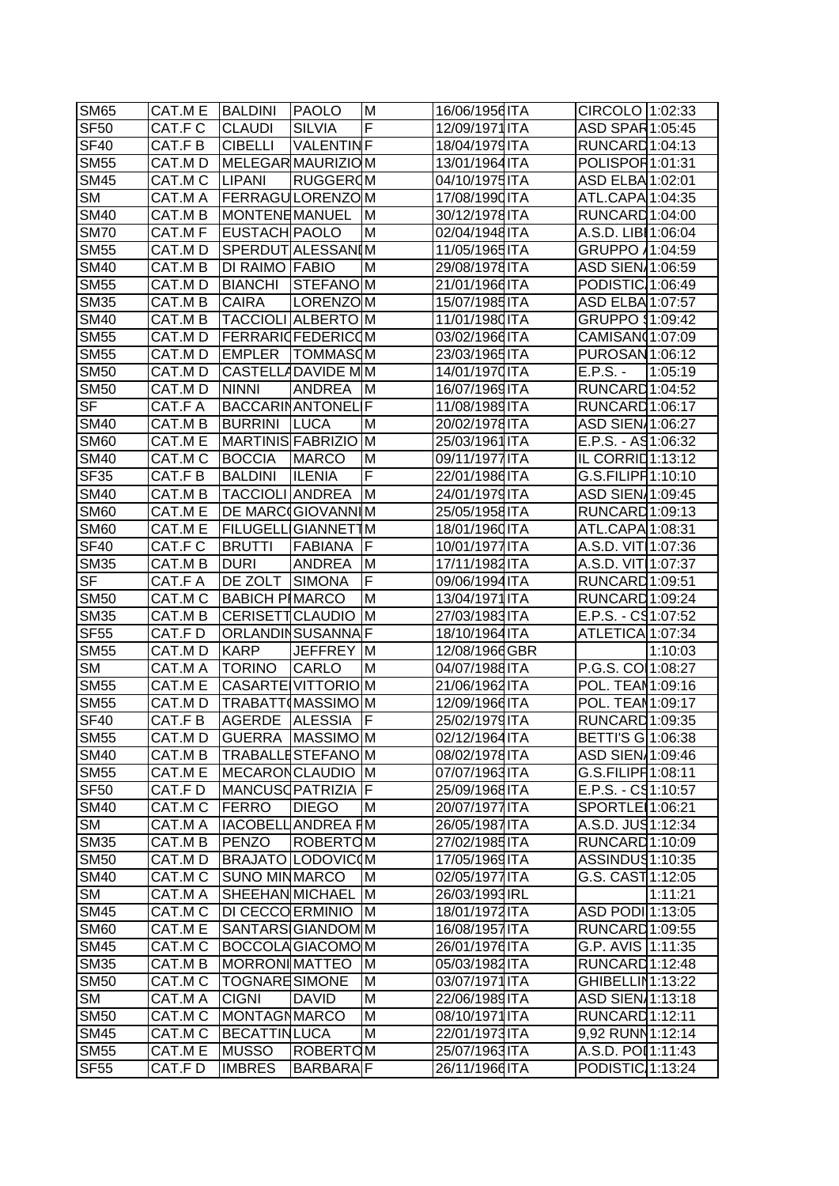| <b>SM65</b>              | CAT.M E BALDINI          |                           | <b>PAOLO</b>     | M           | 16/06/1956 ITA | CIRCOLO 1:02:33              |         |
|--------------------------|--------------------------|---------------------------|------------------|-------------|----------------|------------------------------|---------|
| <b>SF50</b>              | CAT.F C                  | <b>CLAUDI</b>             | <b>SILVIA</b>    | F           | 12/09/1971 ITA | ASD SPAR1:05:45              |         |
| <b>SF40</b>              | CAT.F B                  | <b>CIBELLI</b>            | <b>VALENTINF</b> |             | 18/04/1979 ITA | RUNCARD <sub>1:04:13</sub>   |         |
| <b>SM55</b>              | CAT.MD                   | MELEGARMAURIZIOM          |                  |             | 13/01/1964 ITA | POLISPOR1:01:31              |         |
| <b>SM45</b>              | CAT.M C                  | <b>LIPANI</b>             | <b>RUGGEROM</b>  |             | 04/10/1975 ITA | ASD ELBA 1:02:01             |         |
| <b>SM</b>                | CAT.M A                  | <b>FERRAGULORENZOM</b>    |                  |             | 17/08/1990 ITA | ATL.CAPA 1:04:35             |         |
| <b>SM40</b>              | CAT.M B                  | <b>MONTENEMANUEL</b>      |                  | ΙM          | 30/12/1978 ITA | RUNCARD <sub>1:04:00</sub>   |         |
| <b>SM70</b>              | CAT.M F                  | <b>EUSTACH PAOLO</b>      |                  | M           | 02/04/1948 ITA | A.S.D. LIBI 1:06:04          |         |
| <b>SM55</b>              | CAT.M D SPERDUTALESSANIM |                           |                  |             | 11/05/1965 ITA | GRUPPO 11:04:59              |         |
| <b>SM40</b>              | CAT.M B                  | <b>DI RAIMO FABIO</b>     |                  | M           | 29/08/1978 ITA | ASD SIEN 1:06:59             |         |
| <b>SM55</b>              | CAT.M D                  | BIANCHI                   | STEFANOM         |             | 21/01/1966 ITA | PODISTIC 1:06:49             |         |
| <b>SM35</b>              | CAT.M B                  | <b>CAIRA</b>              | LORENZOM         |             | 15/07/1985 ITA | ASD ELBA 1:07:57             |         |
| <b>SM40</b>              | CAT.M B                  | <b>TACCIOLI ALBERTO M</b> |                  |             | 11/01/1980 ITA | GRUPPO \$1:09:42             |         |
| <b>SM55</b>              | CAT.MD                   | <b>FERRARIGFEDERICOM</b>  |                  |             | 03/02/1966 ITA | CAMISAN(1:07:09              |         |
| <b>SM55</b>              | CAT.MD                   | <b>EMPLER</b>             | <b>TOMMASOM</b>  |             | 23/03/1965 ITA | PUROSAN 1:06:12              |         |
| <b>SM50</b>              | CAT.M D                  | CASTELL4DAVIDE M M        |                  |             | 14/01/1970 ITA | $E.P.S. -$                   | 1:05:19 |
| <b>SM50</b>              | CAT.MD                   | <b>NINNI</b>              | ANDREA           | IM.         | 16/07/1969 ITA | RUNCARD 1:04:52              |         |
| <b>SF</b>                | CAT.F A                  | <b>BACCARINANTONEL F</b>  |                  |             | 11/08/1989ITA  | RUNCARD <sub>1:06:17</sub>   |         |
| <b>SM40</b>              | CAT.M B                  | <b>BURRINI</b>            | <b>LUCA</b>      | M           | 20/02/1978ITA  | ASD SIEN 1:06:27             |         |
| <b>SM60</b>              | CAT.M E                  | MARTINIS FABRIZIO M       |                  |             | 25/03/1961 ITA | $E.P.S. - A91:06:32$         |         |
| <b>SM40</b>              | CAT.M C                  | <b>BOCCIA</b>             | <b>MARCO</b>     | M           | 09/11/1977 ITA | IL CORRID1:13:12             |         |
| <b>SF35</b>              | CAT.F B                  | <b>BALDINI</b>            | <b>ILENIA</b>    | F           | 22/01/1986 ITA | G.S.FILIPH 1:10:10           |         |
| <b>SM40</b>              | CAT.M B                  | <b>TACCIOLI ANDREA</b>    |                  | M           | 24/01/1979 ITA | ASD SIEN 1:09:45             |         |
| <b>SM60</b>              | CAT.M E                  | DE MARCOGIOVANNIM         |                  |             | 25/05/1958 ITA | RUNCARD <sub>1:09:13</sub>   |         |
| <b>SM60</b>              | CAT.M E                  | <b>FILUGELL GIANNETTM</b> |                  |             | 18/01/1960 ITA | ATL.CAPA 1:08:31             |         |
| <b>SF40</b>              | CAT.F C                  | <b>BRUTTI</b>             | FABIANA          | IF          | 10/01/1977 ITA | A.S.D. VIT 1:07:36           |         |
| <b>SM35</b>              | CAT.M B                  | DURI                      | <b>ANDREA</b>    | M           | 17/11/1982 ITA | A.S.D. VIT 1:07:37           |         |
| <b>SF</b>                | CAT.F A                  | DE ZOLT                   | SIMONA           | $\mathsf F$ | 09/06/1994 ITA | RUNCARD 1:09:51              |         |
| <b>SM50</b>              | CAT.M C                  | <b>BABICH PIMARCO</b>     |                  | M           | 13/04/1971 ITA | RUNCARD <sub>1:09:24</sub>   |         |
| $\overline{\text{SM}}35$ | CAT.M B                  | CERISETTCLAUDIO M         |                  |             | 27/03/1983 ITA | $E.P.S. - C91:07:52$         |         |
| <b>SF55</b>              | CAT.F D                  | ORLANDINSUSANNAIF         |                  |             | 18/10/1964 ITA | ATLETICA 1:07:34             |         |
| <b>SM55</b>              | CAT.MD                   | <b>KARP</b>               | JEFFREY M        |             | 12/08/1966 GBR |                              | 1:10:03 |
| <b>SM</b>                | CAT.M A                  | <b>TORINO</b>             | <b>CARLO</b>     | M           | 04/07/1988 ITA | P.G.S. CO 1:08:27            |         |
| <b>SM55</b>              | CAT.M E                  | CASARTE VITTORIO M        |                  |             | 21/06/1962 ITA | POL. TEAN 1:09:16            |         |
| <b>SM55</b>              | CAT.MD                   | TRABATT(MASSIMO M         |                  |             | 12/09/1966 ITA | POL. TEAN 1:09:17            |         |
| <b>SF40</b>              | CAT.F B                  | AGERDE ALESSIA            |                  | IF          | 25/02/1979 ITA | RUNCARD 1:09:35              |         |
| <b>SM55</b>              | CAT.MD                   | <b>GUERRA MASSIMOM</b>    |                  |             | 02/12/1964 ITA | BETTI'S G 1:06:38            |         |
| <b>SM40</b>              | CAT.M B                  | TRABALLESTEFANOM          |                  |             | 08/02/1978 ITA | ASD SIEN 1:09:46             |         |
| <b>SM55</b>              | CAT.M E                  | MECARONCLAUDIO M          |                  |             | 07/07/1963 ITA | G.S.FILIPH1:08:11            |         |
| <b>SF50</b>              | CAT.FD                   | MANCUSCPATRIZIA   F       |                  |             | 25/09/1968 ITA | $E.P.S. - C91:10:57$         |         |
| <b>SM40</b>              | CAT.M C                  | <b>FERRO</b>              | <b>DIEGO</b>     | M           | 20/07/1977 ITA | SPORTLE 1:06:21              |         |
| <b>SM</b>                | CAT.M A                  | <b>IACOBELLIANDREA FM</b> |                  |             | 26/05/1987 ITA | A.S.D. JUS1:12:34            |         |
| <b>SM35</b>              | CAT.M B                  | PENZO                     | ROBERTOM         |             | 27/02/1985 ITA | RUNCARD 1:10:09              |         |
| <b>SM50</b>              | CAT.MD                   | BRAJATO LODOVICOM         |                  |             | 17/05/1969 ITA | ASSINDUS1:10:35              |         |
| <b>SM40</b>              | CAT.M C                  | <b>SUNO MINMARCO</b>      |                  | M           | 02/05/1977 ITA | G.S. CAST <sub>1:12:05</sub> |         |
| <b>SM</b>                | CAT.M A                  | SHEEHANMICHAEL M          |                  |             | 26/03/1993 IRL |                              | 1:11:21 |
| <b>SM45</b>              | CAT.M C                  | DI CECCOERMINIO M         |                  |             | 18/01/1972 ITA | ASD PODI 1:13:05             |         |
| <b>SM60</b>              | CAT.M E                  | SANTARS GIANDOM M         |                  |             | 16/08/1957 ITA | RUNCARD 1:09:55              |         |
| <b>SM45</b>              | CAT.M C                  | <b>BOCCOLAGIACOMOM</b>    |                  |             | 26/01/1976 ITA | G.P. AVIS 1:11:35            |         |
| <b>SM35</b>              | CAT.M B                  | MORRONIMATTEO M           |                  |             | 05/03/1982 ITA | RUNCARD <sub>1:12:48</sub>   |         |
| <b>SM50</b>              | CAT.M C                  | <b>TOGNARESIMONE</b>      |                  | M           | 03/07/1971ITA  | GHIBELLIN1:13:22             |         |
| <b>SM</b>                | CAT.M A                  | <b>CIGNI</b>              | <b>DAVID</b>     | M           | 22/06/1989 ITA | ASD SIEN 1:13:18             |         |
| <b>SM50</b>              | CAT.M C                  | <b>MONTAGNMARCO</b>       |                  | M           | 08/10/1971 ITA | RUNCARD 1:12:11              |         |
| <b>SM45</b>              | CAT.M C                  | <b>BECATTINLUCA</b>       |                  | M           | 22/01/1973 ITA | 9,92 RUNN 1:12:14            |         |
| <b>SM55</b>              | CAT.M E                  | <b>MUSSO</b>              | <b>ROBERTOM</b>  |             | 25/07/1963 ITA | A.S.D. POI 1:11:43           |         |
| <b>SF55</b>              | CAT.FD                   | <b>IMBRES</b>             | <b>BARBARAF</b>  |             | 26/11/1966 ITA | PODISTIC 1:13:24             |         |
|                          |                          |                           |                  |             |                |                              |         |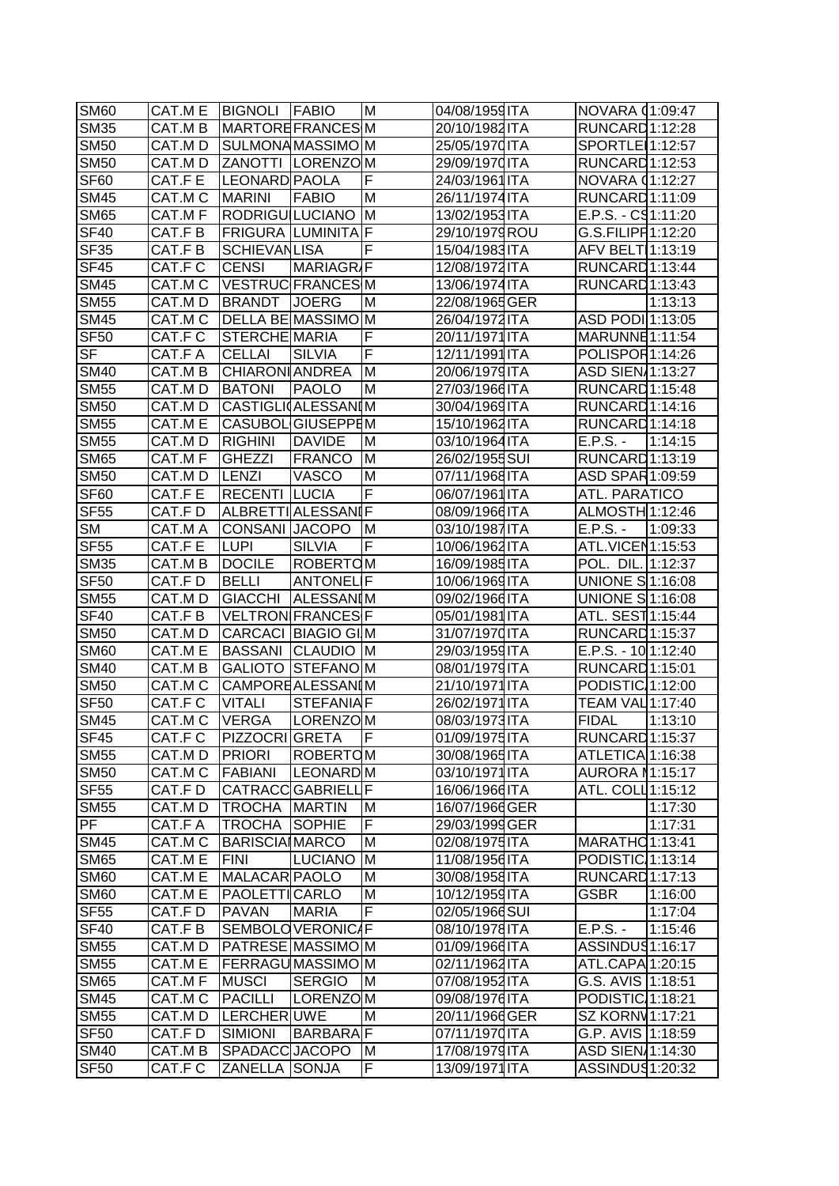| <b>SM60</b>               | CAT.M E | <b>BIGNOLI FABIO</b>   |                           | ΙM       | 04/08/1959ITA  | NOVARA 01:09:47              |         |
|---------------------------|---------|------------------------|---------------------------|----------|----------------|------------------------------|---------|
| <b>SM35</b>               | CAT.M B |                        | <b>MARTOREFRANCESM</b>    |          | 20/10/1982 ITA | RUNCARD <sub>1:12:28</sub>   |         |
| <b>SM50</b>               | CAT.MD  |                        | SULMONAMASSIMOM           |          | 25/05/1970 ITA | SPORTLE 1:12:57              |         |
| <b>SM50</b>               | CAT.MD  |                        | <b>ZANOTTI LORENZOM</b>   |          | 29/09/1970 ITA | RUNCARD 1:12:53              |         |
| SF <sub>60</sub>          | CAT.F E | LEONARD PAOLA          |                           | F        | 24/03/1961 ITA | NOVARA 01:12:27              |         |
| <b>SM45</b>               | CAT.M C | <b>MARINI</b>          | <b>FABIO</b>              | M        | 26/11/1974 ITA | RUNCARD 1:11:09              |         |
| <b>SM65</b>               | CAT.MF  | <b>RODRIGU LUCIANO</b> |                           | ΙM       | 13/02/1953 ITA | $E.P.S. - C91:11:20$         |         |
| <b>SF40</b>               | CAT.F B |                        | <b>FRIGURA LUMINITA F</b> |          | 29/10/1979 ROU | G.S.FILIPH 1:12:20           |         |
| SF <sub>35</sub>          | CAT.F B | <b>SCHIEVANLISA</b>    |                           | F        | 15/04/1983 ITA | AFV BELT 1:13:19             |         |
| <b>SF45</b>               | CAT.F C | <b>CENSI</b>           | MARIAGRIF                 |          | 12/08/1972 ITA | RUNCARD <sub>1:13:44</sub>   |         |
| <b>SM45</b>               | CAT.M C |                        | VESTRUCFRANCESM           |          | 13/06/1974 ITA | RUNCARD 1:13:43              |         |
| <b>SM55</b>               | CAT.MD  | BRANDT                 | <b>JOERG</b>              | ΙM       | 22/08/1965 GER |                              | 1:13:13 |
| <b>SM45</b>               | CAT.M C |                        | DELLA BE MASSIMO M        |          | 26/04/1972 ITA | ASD PODI 1:13:05             |         |
| <b>SF50</b>               | CAT.F C | <b>STERCHE MARIA</b>   |                           | F        | 20/11/1971 ITA | MARUNNE 1:11:54              |         |
| $\overline{\mathsf{SF}}$  | CAT.F A | <b>CELLAI</b>          | <b>SILVIA</b>             | F        | 12/11/1991 ITA | POLISPOR1:14:26              |         |
| <b>SM40</b>               | CAT.M B | <b>CHIARON ANDREA</b>  |                           | M        | 20/06/1979 ITA | ASD SIEN 1:13:27             |         |
| <b>SM55</b>               | CAT.MD  | <b>BATONI</b>          | PAOLO                     | M        | 27/03/1966 ITA | RUNCARD <sub>1:15:48</sub>   |         |
| <b>SM50</b>               | CAT.MD  |                        | CASTIGLI(ALESSANIM        |          | 30/04/1969 ITA | RUNCARD 1:14:16              |         |
| <b>SM55</b>               | CAT.M E |                        | <b>CASUBOL GIUSEPPEM</b>  |          | 15/10/1962ITA  | RUNCARD <sub>1:14:18</sub>   |         |
| <b>SM55</b>               | CAT.M D | <b>RIGHINI</b>         | <b>DAVIDE</b>             | M        | 03/10/1964 ITA | $E.P.S. -$                   | 1:14:15 |
| <b>SM65</b>               | CAT.M F | <b>GHEZZI</b>          | <b>FRANCO</b>             | <b>M</b> | 26/02/1955 SUI | RUNCARD 1:13:19              |         |
| <b>SM50</b>               | CAT.MD  | <b>LENZI</b>           | <b>VASCO</b>              | M        | 07/11/1968ITA  | ASD SPAR1:09:59              |         |
| SF <sub>60</sub>          | CAT.F E | <b>RECENTI</b>         | <b>LUCIA</b>              | F        | 06/07/1961 ITA | ATL. PARATICO                |         |
| <b>SF55</b>               | CAT.FD  |                        | <b>ALBRETTIALESSANIF</b>  |          | 08/09/1966 ITA | ALMOSTH 1:12:46              |         |
| <b>SM</b>                 | CAT.M A | CONSANI JACOPO         |                           | IМ       | 03/10/1987 ITA | $E.P.S. -$                   | 1:09:33 |
| SF <sub>55</sub>          | CAT.F E | <b>LUPI</b>            | <b>SILVIA</b>             | F        | 10/06/1962 ITA | ATL.VICEN1:15:53             |         |
| <b>SM35</b>               | CAT.M B | <b>DOCILE</b>          | ROBERTOM                  |          | 16/09/1985 ITA | POL. DIL. 1:12:37            |         |
| <b>SF50</b>               | CAT.FD  | <b>BELLI</b>           | <b>ANTONEL F</b>          |          | 10/06/1969 ITA | <b>UNIONE S1:16:08</b>       |         |
| <b>SM55</b>               | CAT.MD  | GIACCHI                | <b>ALESSANIM</b>          |          | 09/02/1966 ITA | UNIONE S 1:16:08             |         |
| <b>SF40</b>               | CAT.F B |                        | VELTRON FRANCES F         |          | 05/01/1981 ITA | ATL. SEST1:15:44             |         |
| <b>SM50</b>               | CAT.MD  |                        | CARCACI BIAGIO GIM        |          | 31/07/1970 ITA | RUNCARD <sub>1:15:37</sub>   |         |
| <b>SM60</b>               | CAT.M E |                        | BASSANI CLAUDIO M         |          | 29/03/1959 ITA | $E.P.S. - 1011:12:40$        |         |
| <b>SM40</b>               | CAT.M B |                        | <b>GALIOTO STEFANOM</b>   |          | 08/01/1979 ITA | RUNCARD 1:15:01              |         |
| <b>SM50</b>               | CAT.M C |                        | <b>CAMPOREALESSANIM</b>   |          | 21/10/1971 ITA | PODISTIC 1:12:00             |         |
| <b>SF50</b>               | CAT.F C | <b>VITALI</b>          | <b>STEFANIAF</b>          |          | 26/02/1971 ITA | TEAM VAL 1:17:40             |         |
| <b>SM45</b>               | CAT.MC  | <b>VERGA</b>           | LORENZOM                  |          | 08/03/1973 ITA | <b>FIDAL</b>                 | 1:13:10 |
| SF45                      | CAT.F C | <b>PIZZOCRI</b> GRETA  |                           | F        | 01/09/1975 ITA | RUNCARD 1:15:37              |         |
| <b>SM55</b>               | CAT.MD  | <b>PRIORI</b>          | ROBERTOM                  |          | 30/08/1965 ITA | ATLETICA 1:16:38             |         |
| <b>SM50</b>               | CAT.M C | FABIANI                | LEONARD M                 |          | 03/10/1971 ITA | AURORA 11:15:17              |         |
| <b>SF55</b>               | CAT.F D |                        | CATRACC GABRIELL F        |          | 16/06/1966 ITA | ATL. COLL <sup>1:15:12</sup> |         |
| <b>SM55</b>               | CAT.M D | <b>TROCHA MARTIN</b>   |                           | ΙM       | 16/07/1966 GER |                              | 1:17:30 |
| $\overline{\text{PF}}$    | CAT.F A | <b>TROCHA SOPHIE</b>   |                           | F        | 29/03/1999 GER |                              | 1:17:31 |
| <b>SM45</b>               | CAT.M C | <b>BARISCIA MARCO</b>  |                           | M        | 02/08/1975 ITA | MARATHO 1:13:41              |         |
| <b>SM65</b>               | CAT.M E | <b>IFINI</b>           | <b>LUCIANO</b>            | IМ       | 11/08/1956 ITA | PODISTIC 1:13:14             |         |
| <b>SM60</b>               | CAT.M E | MALACAR PAOLO          |                           | M        | 30/08/1958 ITA | RUNCARD <sub>1:17:13</sub>   |         |
| <b>SM60</b>               | CAT.M E | <b>PAOLETTICARLO</b>   |                           | M        | 10/12/1959 ITA | <b>GSBR</b>                  | 1:16:00 |
| SF <sub>55</sub>          | CAT.FD  | PAVAN                  | <b>MARIA</b>              | F        | 02/05/1966 SUI |                              | 1:17:04 |
| $\overline{\text{SF}}$ 40 | CAT.F B |                        | <b>SEMBOLOVERONICAF</b>   |          | 08/10/1978 ITA | $E.P.S. -$                   | 1:15:46 |
| <b>SM55</b>               | CAT.M D |                        | <b>PATRESE MASSIMOM</b>   |          | 01/09/1966 ITA | ASSINDUS1:16:17              |         |
| <b>SM55</b>               | CAT.M E |                        | <b>FERRAGUMASSIMOM</b>    |          | 02/11/1962 ITA | ATL.CAPA 1:20:15             |         |
| <b>SM65</b>               | CAT.M F | <b>MUSCI</b>           | <b>SERGIO</b>             | IМ       | 07/08/1952 ITA | G.S. AVIS 1:18:51            |         |
| <b>SM45</b>               | CAT.M C | PACILLI                | LORENZOM                  |          | 09/08/1976 ITA | PODISTIC 1:18:21             |         |
| <b>SM55</b>               | CAT.M D | LERCHERUWE             |                           | M        | 20/11/1966 GER | SZ KORNV1:17:21              |         |
| <b>SF50</b>               | CAT.FD  | <b>SIMIONI</b>         | BARBARA F                 |          | 07/11/1970 ITA | G.P. AVIS 1:18:59            |         |
| <b>SM40</b>               | CAT.M B | SPADACC JACOPO         |                           | ΙM       | 17/08/1979 ITA | ASD SIEN 1:14:30             |         |
| <b>SF50</b>               | CAT.F C | ZANELLA SONJA          |                           | F.       | 13/09/1971 ITA | ASSINDUS1:20:32              |         |
|                           |         |                        |                           |          |                |                              |         |